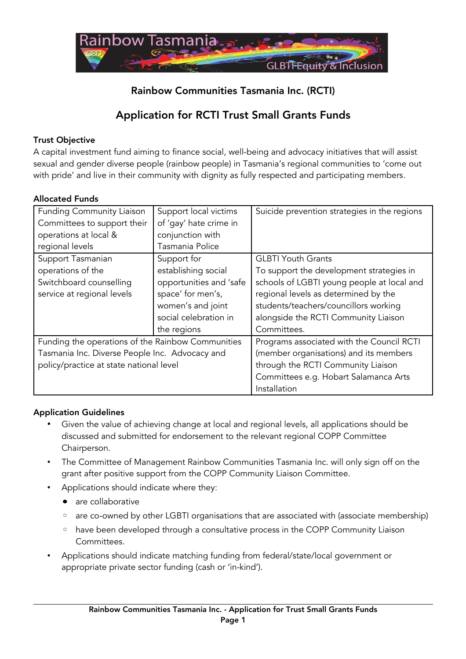

# Rainbow Communities Tasmania Inc. (RCTI)

# Application for RCTI Trust Small Grants Funds

## Trust Objective

A capital investment fund aiming to finance social, well-being and advocacy initiatives that will assist sexual and gender diverse people (rainbow people) in Tasmania's regional communities to 'come out with pride' and live in their community with dignity as fully respected and participating members.

## Allocated Funds

| <b>Funding Community Liaison</b>                  | Support local victims   | Suicide prevention strategies in the regions |
|---------------------------------------------------|-------------------------|----------------------------------------------|
| Committees to support their                       | of 'gay' hate crime in  |                                              |
| operations at local &                             | conjunction with        |                                              |
| regional levels                                   | Tasmania Police         |                                              |
| Support Tasmanian                                 | Support for             | <b>GLBTI Youth Grants</b>                    |
| operations of the                                 | establishing social     | To support the development strategies in     |
| Switchboard counselling                           | opportunities and 'safe | schools of LGBTI young people at local and   |
| service at regional levels                        | space' for men's,       | regional levels as determined by the         |
|                                                   | women's and joint       | students/teachers/councillors working        |
|                                                   | social celebration in   | alongside the RCTI Community Liaison         |
|                                                   | the regions             | Committees.                                  |
| Funding the operations of the Rainbow Communities |                         | Programs associated with the Council RCTI    |
| Tasmania Inc. Diverse People Inc. Advocacy and    |                         | (member organisations) and its members       |
| policy/practice at state national level           |                         | through the RCTI Community Liaison           |
|                                                   |                         | Committees e.g. Hobart Salamanca Arts        |
|                                                   |                         | Installation                                 |

## Application Guidelines

- Given the value of achieving change at local and regional levels, all applications should be discussed and submitted for endorsement to the relevant regional COPP Committee Chairperson.
- The Committee of Management Rainbow Communities Tasmania Inc. will only sign off on the grant after positive support from the COPP Community Liaison Committee.
- Applications should indicate where they:
	- are collaborative
	- are co-owned by other LGBTI organisations that are associated with (associate membership)
	- have been developed through a consultative process in the COPP Community Liaison Committees.
- Applications should indicate matching funding from federal/state/local government or appropriate private sector funding (cash or 'in-kind').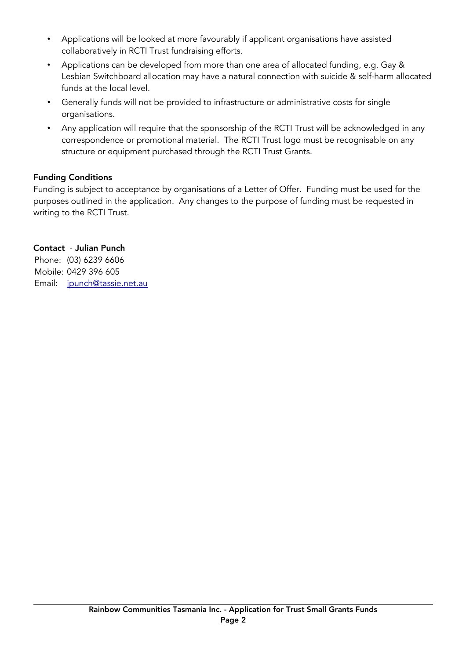- Applications will be looked at more favourably if applicant organisations have assisted collaboratively in RCTI Trust fundraising efforts.
- Applications can be developed from more than one area of allocated funding, e.g. Gay & Lesbian Switchboard allocation may have a natural connection with suicide & self-harm allocated funds at the local level.
- Generally funds will not be provided to infrastructure or administrative costs for single organisations.
- Any application will require that the sponsorship of the RCTI Trust will be acknowledged in any correspondence or promotional material. The RCTI Trust logo must be recognisable on any structure or equipment purchased through the RCTI Trust Grants.

## Funding Conditions

Funding is subject to acceptance by organisations of a Letter of Offer. Funding must be used for the purposes outlined in the application. Any changes to the purpose of funding must be requested in writing to the RCTI Trust.

## Contact - Julian Punch

Phone: (03) 6239 6606 Mobile: 0429 396 605 Email: [jpunch@tassie.net.au](mailto:jpunch@tassie.net.au)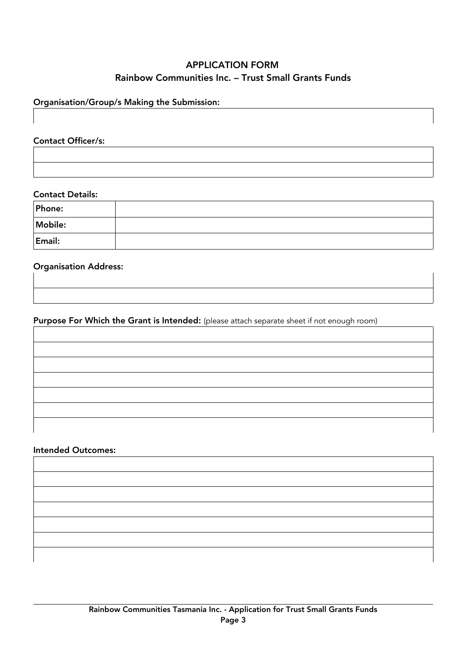# APPLICATION FORM Rainbow Communities Inc. – Trust Small Grants Funds

## Organisation/Group/s Making the Submission:

Contact Officer/s:

#### Contact Details:

| Phone:  |  |
|---------|--|
| Mobile: |  |
| Email:  |  |

### Organisation Address:

## Purpose For Which the Grant is Intended: (please attach separate sheet if not enough room)

### Intended Outcomes:

| ,我们也不能在这里的时候,我们也不能在这里的时候,我们也不能在这里的时候,我们也不能会在这里的时候,我们也不能会在这里的时候,我们也不能会在这里的时候,我们也不能 |  |  |
|-----------------------------------------------------------------------------------|--|--|
|                                                                                   |  |  |
|                                                                                   |  |  |
|                                                                                   |  |  |
| ,我们也不会有什么?""我们的人,我们也不会不会不会。""我们的人,我们也不会不会不会不会。""我们的人,我们也不会不会不会不会。""我们的人,我们也不会不会不  |  |  |
|                                                                                   |  |  |
|                                                                                   |  |  |
|                                                                                   |  |  |
|                                                                                   |  |  |
|                                                                                   |  |  |
|                                                                                   |  |  |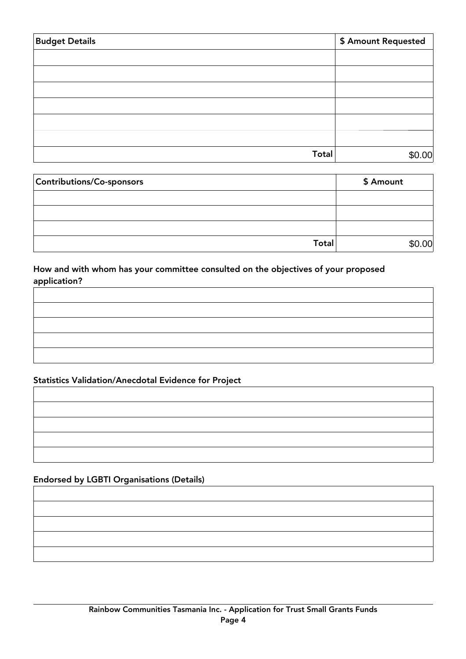| <b>Budget Details</b> | \$ Amount Requested |
|-----------------------|---------------------|
|                       |                     |
|                       |                     |
|                       |                     |
|                       |                     |
|                       |                     |
|                       |                     |
| Total                 | \$0.00              |

| Contributions/Co-sponsors | \$ Amount |
|---------------------------|-----------|
|                           |           |
|                           |           |
|                           |           |
| <b>Total</b>              | .00       |

How and with whom has your committee consulted on the objectives of your proposed application?

## Statistics Validation/Anecdotal Evidence for Project

## Endorsed by LGBTI Organisations (Details)